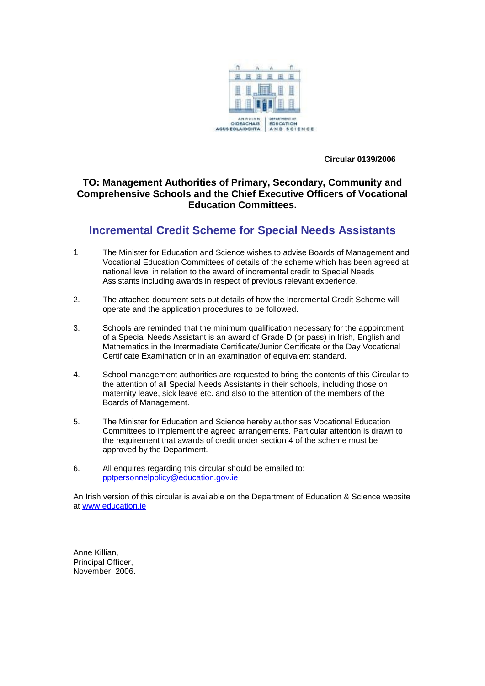

 **Circular 0139/2006**

### **TO: Management Authorities of Primary, Secondary, Community and Comprehensive Schools and the Chief Executive Officers of Vocational Education Committees.**

## **Incremental Credit Scheme for Special Needs Assistants**

- 1 The Minister for Education and Science wishes to advise Boards of Management and Vocational Education Committees of details of the scheme which has been agreed at national level in relation to the award of incremental credit to Special Needs Assistants including awards in respect of previous relevant experience.
- 2. The attached document sets out details of how the Incremental Credit Scheme will operate and the application procedures to be followed.
- 3. Schools are reminded that the minimum qualification necessary for the appointment of a Special Needs Assistant is an award of Grade D (or pass) in Irish, English and Mathematics in the Intermediate Certificate/Junior Certificate or the Day Vocational Certificate Examination or in an examination of equivalent standard.
- 4. School management authorities are requested to bring the contents of this Circular to the attention of all Special Needs Assistants in their schools, including those on maternity leave, sick leave etc. and also to the attention of the members of the Boards of Management.
- 5. The Minister for Education and Science hereby authorises Vocational Education Committees to implement the agreed arrangements. Particular attention is drawn to the requirement that awards of credit under section 4 of the scheme must be approved by the Department.
- 6. All enquires regarding this circular should be emailed to: pptpersonnelpolicy@education.gov.ie

An Irish version of this circular is available on the Department of Education & Science website at [www.education.ie](http://www.education.ie/) 

Anne Killian, Principal Officer, November, 2006.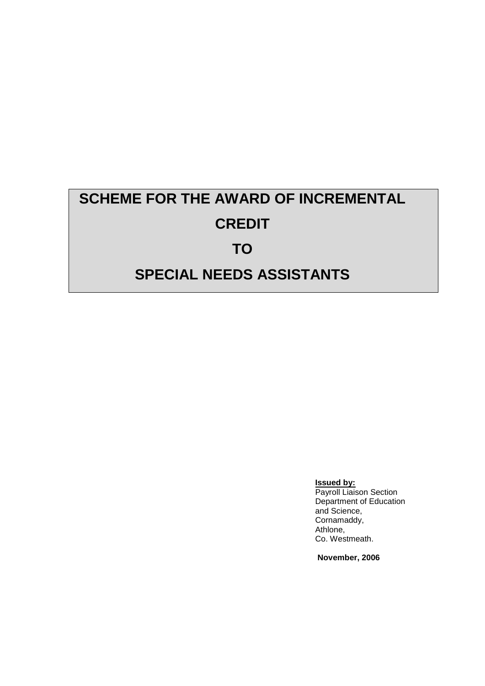# **SCHEME FOR THE AWARD OF INCREMENTAL CREDIT TO**

## **SPECIAL NEEDS ASSISTANTS**

**Issued by:**

Payroll Liaison Section Department of Education and Science, Cornamaddy, Athlone, Co. Westmeath.

**November, 2006**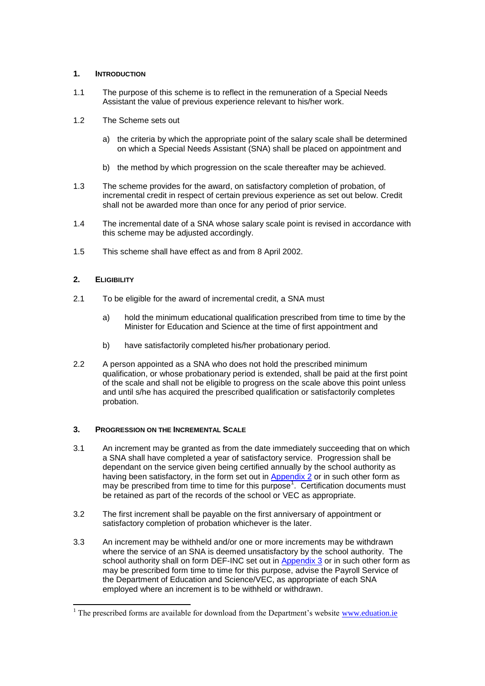#### **1. INTRODUCTION**

- 1.1 The purpose of this scheme is to reflect in the remuneration of a Special Needs Assistant the value of previous experience relevant to his/her work.
- 1.2 The Scheme sets out
	- a) the criteria by which the appropriate point of the salary scale shall be determined on which a Special Needs Assistant (SNA) shall be placed on appointment and
	- b) the method by which progression on the scale thereafter may be achieved.
- 1.3 The scheme provides for the award, on satisfactory completion of probation, of incremental credit in respect of certain previous experience as set out below. Credit shall not be awarded more than once for any period of prior service.
- 1.4 The incremental date of a SNA whose salary scale point is revised in accordance with this scheme may be adjusted accordingly.
- 1.5 This scheme shall have effect as and from 8 April 2002.

#### **2. ELIGIBILITY**

- 2.1 To be eligible for the award of incremental credit, a SNA must
	- a) hold the minimum educational qualification prescribed from time to time by the Minister for Education and Science at the time of first appointment and
	- b) have satisfactorily completed his/her probationary period.
- 2.2 A person appointed as a SNA who does not hold the prescribed minimum qualification, or whose probationary period is extended, shall be paid at the first point of the scale and shall not be eligible to progress on the scale above this point unless and until s/he has acquired the prescribed qualification or satisfactorily completes probation.

#### **3. PROGRESSION ON THE INCREMENTAL SCALE**

- 3.1 An increment may be granted as from the date immediately succeeding that on which a SNA shall have completed a year of satisfactory service. Progression shall be dependant on the service given being certified annually by the school authority as having been satisfactory, in the form set out in [Appendix 2](http://www.education.ie/en/Circulars-and-Forms/Active-Circulars/cl0139_2006_app_b_snainccr.pdf) or in such other form as may be prescribed from time to time for this purpose<sup>1</sup>. Certification documents must be retained as part of the records of the school or VEC as appropriate.
- 3.2 The first increment shall be payable on the first anniversary of appointment or satisfactory completion of probation whichever is the later.
- 3.3 An increment may be withheld and/or one or more increments may be withdrawn where the service of an SNA is deemed unsatisfactory by the school authority. The school authority shall on form DEF-INC set out in [Appendix 3](http://www.education.ie/en/Circulars-and-Forms/Active-Circulars/cl0139_2006_app_c_snainccr.pdf) or in such other form as may be prescribed form time to time for this purpose, advise the Payroll Service of the Department of Education and Science/VEC, as appropriate of each SNA employed where an increment is to be withheld or withdrawn.

<sup>-</sup> $1$  The prescribed forms are available for download from the Department's website [www.eduation.ie](http://www.eduation.ie/)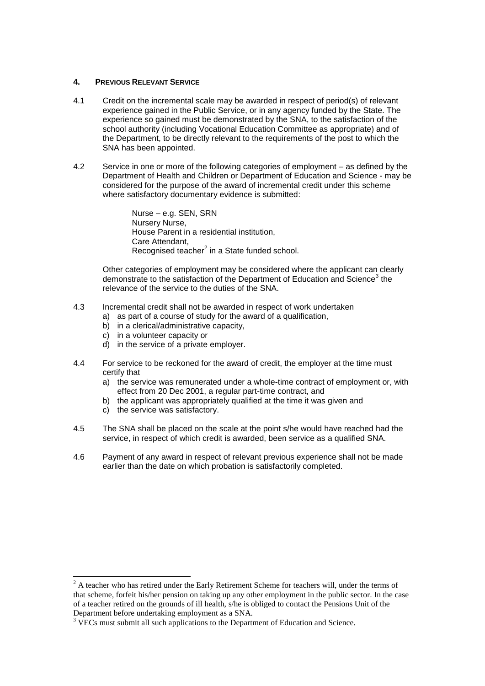#### **4. PREVIOUS RELEVANT SERVICE**

- 4.1 Credit on the incremental scale may be awarded in respect of period(s) of relevant experience gained in the Public Service, or in any agency funded by the State. The experience so gained must be demonstrated by the SNA, to the satisfaction of the school authority (including Vocational Education Committee as appropriate) and of the Department, to be directly relevant to the requirements of the post to which the SNA has been appointed.
- 4.2 Service in one or more of the following categories of employment as defined by the Department of Health and Children or Department of Education and Science - may be considered for the purpose of the award of incremental credit under this scheme where satisfactory documentary evidence is submitted:

Nurse – e.g. SEN, SRN Nursery Nurse, House Parent in a residential institution, Care Attendant, Recognised teacher<sup>2</sup> in a State funded school.

Other categories of employment may be considered where the applicant can clearly demonstrate to the satisfaction of the Department of Education and Science<sup>3</sup> the relevance of the service to the duties of the SNA.

- 4.3 Incremental credit shall not be awarded in respect of work undertaken
	- a) as part of a course of study for the award of a qualification,
	- b) in a clerical/administrative capacity,
	- c) in a volunteer capacity or
	- d) in the service of a private employer.
- 4.4 For service to be reckoned for the award of credit, the employer at the time must certify that
	- a) the service was remunerated under a whole-time contract of employment or, with effect from 20 Dec 2001, a regular part-time contract, and
	- b) the applicant was appropriately qualified at the time it was given and
	- c) the service was satisfactory.

-

- 4.5 The SNA shall be placed on the scale at the point s/he would have reached had the service, in respect of which credit is awarded, been service as a qualified SNA.
- 4.6 Payment of any award in respect of relevant previous experience shall not be made earlier than the date on which probation is satisfactorily completed.

<sup>&</sup>lt;sup>2</sup> A teacher who has retired under the Early Retirement Scheme for teachers will, under the terms of that scheme, forfeit his/her pension on taking up any other employment in the public sector. In the case of a teacher retired on the grounds of ill health, s/he is obliged to contact the Pensions Unit of the Department before undertaking employment as a SNA.

<sup>&</sup>lt;sup>3</sup> VECs must submit all such applications to the Department of Education and Science.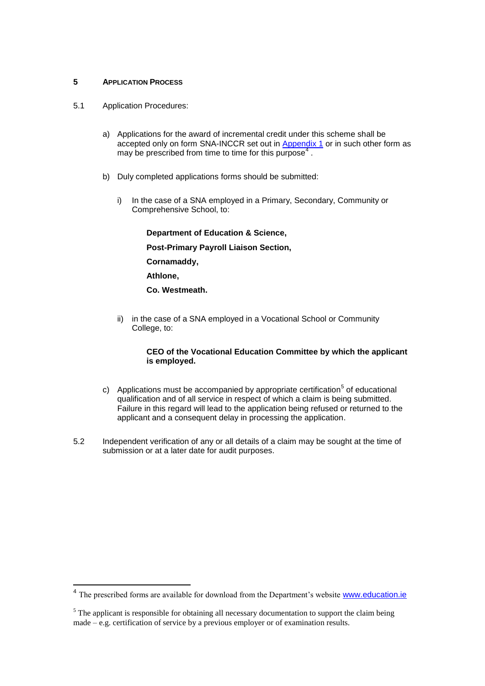#### **5 APPLICATION PROCESS**

- 5.1 Application Procedures:
	- a) Applications for the award of incremental credit under this scheme shall be accepted only on form SNA-INCCR set out in [Appendix 1](http://www.education.ie/en/Circulars-and-Forms/Active-Circulars/cl0139_2006_app_a_snainccr.pdf) or in such other form as may be prescribed from time to time for this purpose<sup>4</sup>.
	- b) Duly completed applications forms should be submitted:
		- i) In the case of a SNA employed in a Primary, Secondary, Community or Comprehensive School, to:

**Department of Education & Science, Post-Primary Payroll Liaison Section, Cornamaddy, Athlone, Co. Westmeath.**

ii) in the case of a SNA employed in a Vocational School or Community College, to:

#### **CEO of the Vocational Education Committee by which the applicant is employed.**

- c) Applications must be accompanied by appropriate certification<sup>5</sup> of educational qualification and of all service in respect of which a claim is being submitted. Failure in this regard will lead to the application being refused or returned to the applicant and a consequent delay in processing the application.
- 5.2 Independent verification of any or all details of a claim may be sought at the time of submission or at a later date for audit purposes.

The prescribed forms are available for download from the Department's website [www.education.ie](http://www.education.ie/)

<sup>&</sup>lt;sup>5</sup> The applicant is responsible for obtaining all necessary documentation to support the claim being made – e.g. certification of service by a previous employer or of examination results.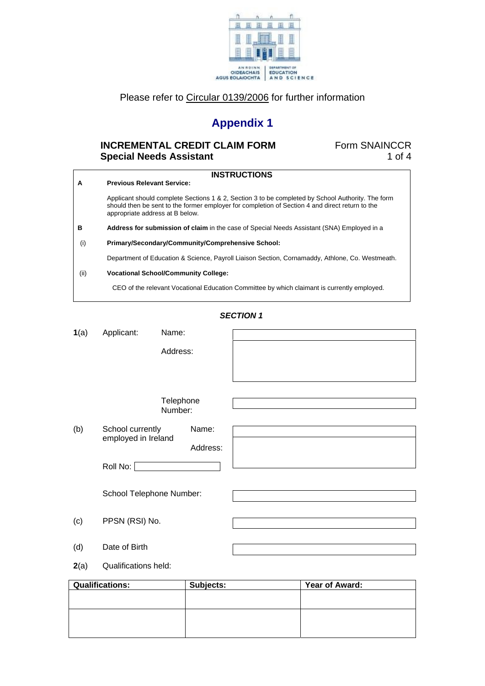

## Please refer to [Circular 0139/2006](http://www.education.ie/servlet/blobservlet/cl0139_2006.doc) for further information

## **Appendix 1**

## **INCREMENTAL CREDIT CLAIM FORM FORM** Form SNAINCCR **Special Needs Assistant 1 of 4**

| A    | <b>INSTRUCTIONS</b><br><b>Previous Relevant Service:</b>                                                                                                                                                                                |
|------|-----------------------------------------------------------------------------------------------------------------------------------------------------------------------------------------------------------------------------------------|
|      | Applicant should complete Sections 1 & 2, Section 3 to be completed by School Authority. The form<br>should then be sent to the former employer for completion of Section 4 and direct return to the<br>appropriate address at B below. |
| в    | Address for submission of claim in the case of Special Needs Assistant (SNA) Employed in a                                                                                                                                              |
| (i)  | Primary/Secondary/Community/Comprehensive School:                                                                                                                                                                                       |
|      | Department of Education & Science, Payroll Liaison Section, Cornamaddy, Athlone, Co. Westmeath.                                                                                                                                         |
| (ii) | <b>Vocational School/Community College:</b>                                                                                                                                                                                             |
|      | CEO of the relevant Vocational Education Committee by which claimant is currently employed.                                                                                                                                             |

#### *SECTION 1*

| 1(a) | Applicant:                              | Name:                |                   |                |  |
|------|-----------------------------------------|----------------------|-------------------|----------------|--|
|      |                                         | Address:             |                   |                |  |
|      |                                         | Telephone<br>Number: |                   |                |  |
| (b)  | School currently<br>employed in Ireland |                      | Name:<br>Address: |                |  |
|      | Roll No:                                |                      |                   |                |  |
|      | School Telephone Number:                |                      |                   |                |  |
| (c)  | PPSN (RSI) No.                          |                      |                   |                |  |
| (d)  | Date of Birth                           |                      |                   |                |  |
| 2(a) | <b>Qualifications held:</b>             |                      |                   |                |  |
|      | <b>Qualifications:</b>                  |                      | Subjects:         | Year of Award: |  |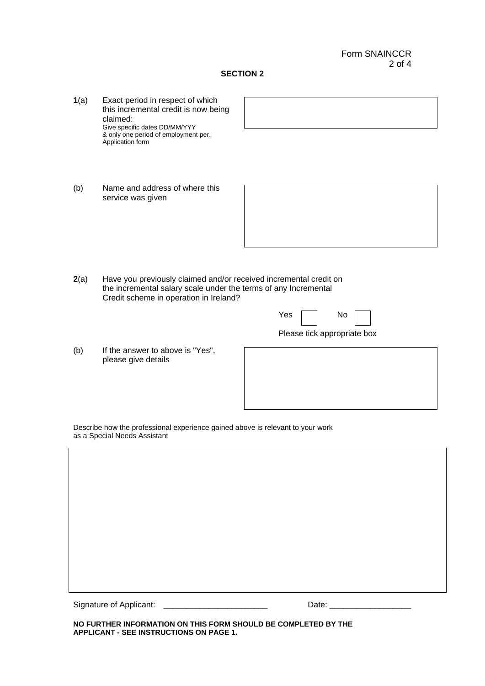#### **SECTION 2**

- **1**(a) Exact period in respect of which this incremental credit is now being claimed: Give specific dates DD/MM/YYY & only one period of employment per. Application form
- (b) Name and address of where this service was given



**2**(a) Have you previously claimed and/or received incremental credit on the incremental salary scale under the terms of any Incremental Credit scheme in operation in Ireland?

|  | Yes $\Box$ No $\Box$ |  |
|--|----------------------|--|

Please tick appropriate box

(b) If the answer to above is "Yes", please give details

Describe how the professional experience gained above is relevant to your work as a Special Needs Assistant

Signature of Applicant: \_\_\_\_\_\_\_\_\_\_\_\_\_\_\_\_\_\_\_\_\_\_\_ Date: \_\_\_\_\_\_\_\_\_\_\_\_\_\_\_\_\_\_

**NO FURTHER INFORMATION ON THIS FORM SHOULD BE COMPLETED BY THE APPLICANT - SEE INSTRUCTIONS ON PAGE 1.**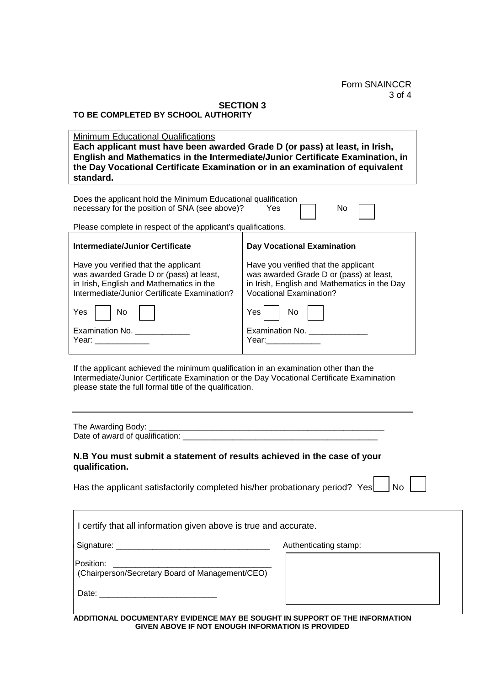Form SNAINCCR 3 of 4

#### **SECTION 3 TO BE COMPLETED BY SCHOOL AUTHORITY**

Minimum Educational Qualifications **Each applicant must have been awarded Grade D (or pass) at least, in Irish, English and Mathematics in the Intermediate/Junior Certificate Examination, in the Day Vocational Certificate Examination or in an examination of equivalent standard.**

| Does the applicant hold the Minimum Educational qualification<br>necessary for the position of SNA (see above)?<br><b>Yes</b><br>No                                                                                                                          |                                                                                                                                                                   |  |  |
|--------------------------------------------------------------------------------------------------------------------------------------------------------------------------------------------------------------------------------------------------------------|-------------------------------------------------------------------------------------------------------------------------------------------------------------------|--|--|
| Please complete in respect of the applicant's qualifications.                                                                                                                                                                                                |                                                                                                                                                                   |  |  |
| <b>Intermediate/Junior Certificate</b>                                                                                                                                                                                                                       | <b>Day Vocational Examination</b>                                                                                                                                 |  |  |
| Have you verified that the applicant<br>was awarded Grade D or (pass) at least,<br>in Irish, English and Mathematics in the<br>Intermediate/Junior Certificate Examination?                                                                                  | Have you verified that the applicant<br>was awarded Grade D or (pass) at least,<br>in Irish, English and Mathematics in the Day<br><b>Vocational Examination?</b> |  |  |
| Yes<br>No                                                                                                                                                                                                                                                    | Yes<br>No.                                                                                                                                                        |  |  |
| Examination No. __________<br>Year: The Contract of the Contract of the Contract of the Contract of the Contract of the Contract of the Contract of the Contract of the Contract of the Contract of the Contract of the Contract of the Contract of the Cont | Examination No. _________<br>Year: ________                                                                                                                       |  |  |
| If the applicant achieved the minimum qualification in an examination other than the<br>Intermediate/Junior Certificate Examination or the Day Vocational Certificate Examination<br>please state the full formal title of the qualification.                |                                                                                                                                                                   |  |  |
|                                                                                                                                                                                                                                                              |                                                                                                                                                                   |  |  |
| N.B You must submit a statement of results achieved in the case of your<br>qualification.                                                                                                                                                                    |                                                                                                                                                                   |  |  |

Has the applicant satisfactorily completed his/her probationary period? Yes  $\Box$  N

| ×<br>۰. |  |
|---------|--|
|         |  |

| I certify that all information given above is true and accurate. |                       |  |
|------------------------------------------------------------------|-----------------------|--|
|                                                                  | Authenticating stamp: |  |
| Position:<br>(Chairperson/Secretary Board of Management/CEO)     |                       |  |
| Date:                                                            |                       |  |

**ADDITIONAL DOCUMENTARY EVIDENCE MAY BE SOUGHT IN SUPPORT OF THE INFORMATION GIVEN ABOVE IF NOT ENOUGH INFORMATION IS PROVIDED**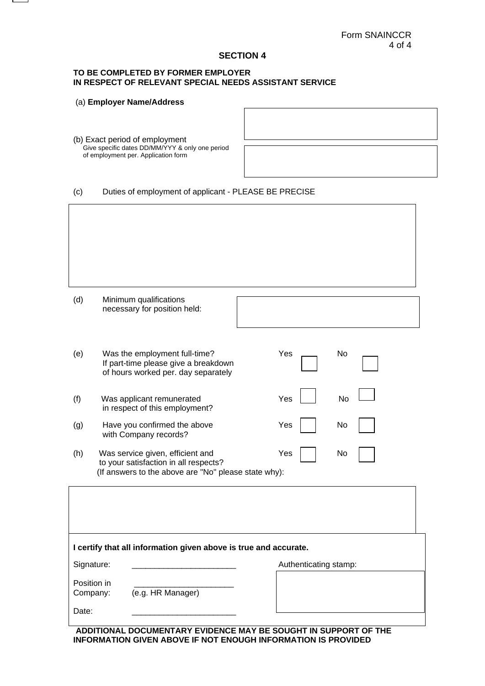#### **SECTION 4**

#### **TO BE COMPLETED BY FORMER EMPLOYER IN RESPECT OF RELEVANT SPECIAL NEEDS ASSISTANT SERVICE**

|                         | (a) Employer Name/Address                                                                                                         |                       |
|-------------------------|-----------------------------------------------------------------------------------------------------------------------------------|-----------------------|
|                         | (b) Exact period of employment<br>Give specific dates DD/MM/YYY & only one period<br>of employment per. Application form          |                       |
| (c)                     | Duties of employment of applicant - PLEASE BE PRECISE                                                                             |                       |
|                         |                                                                                                                                   |                       |
| (d)                     | Minimum qualifications<br>necessary for position held:                                                                            |                       |
| (e)                     | Was the employment full-time?<br>If part-time please give a breakdown<br>of hours worked per. day separately                      | Yes<br>No             |
| (f)                     | Was applicant remunerated<br>in respect of this employment?                                                                       | Yes<br>No             |
| (g)                     | Have you confirmed the above<br>with Company records?                                                                             | No<br>Yes             |
| (h)                     | Was service given, efficient and<br>to your satisfaction in all respects?<br>(If answers to the above are "No" please state why): | Yes<br>No             |
|                         |                                                                                                                                   |                       |
|                         | I certify that all information given above is true and accurate.                                                                  |                       |
| Signature:              |                                                                                                                                   | Authenticating stamp: |
| Position in<br>Company: | (e.g. HR Manager)                                                                                                                 |                       |
| Date:                   |                                                                                                                                   |                       |

**ADDITIONAL DOCUMENTARY EVIDENCE MAY BE SOUGHT IN SUPPORT OF THE INFORMATION GIVEN ABOVE IF NOT ENOUGH INFORMATION IS PROVIDED**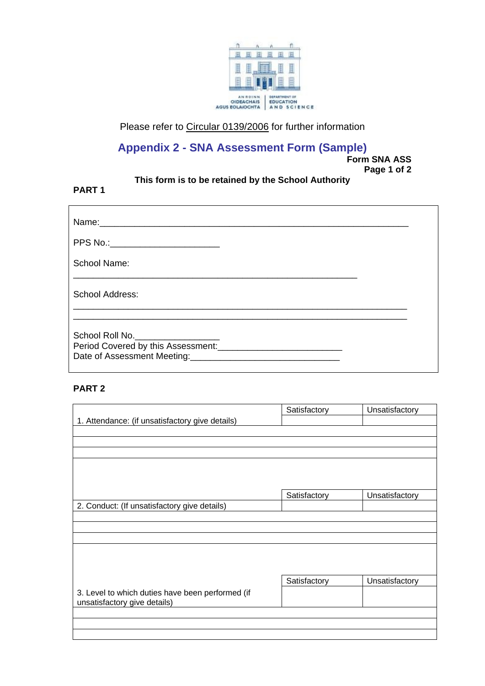

Please refer to [Circular 0139/2006](http://www.education.ie/servlet/blobservlet/cl0139_2006.doc) for further information

## **Appendix 2 - SNA Assessment Form (Sample)**

**Form SNA ASS Page 1 of 2** 

## **This form is to be retained by the School Authority**

### **PART 1**

| PPS No.:_________________________ |  |
|-----------------------------------|--|
| School Name:                      |  |
| <b>School Address:</b>            |  |
| School Roll No.                   |  |

### **PART 2**

|                                                  | Satisfactory | Unsatisfactory |
|--------------------------------------------------|--------------|----------------|
| 1. Attendance: (if unsatisfactory give details)  |              |                |
|                                                  |              |                |
|                                                  |              |                |
|                                                  |              |                |
|                                                  |              |                |
|                                                  |              |                |
|                                                  |              |                |
|                                                  | Satisfactory | Unsatisfactory |
| 2. Conduct: (If unsatisfactory give details)     |              |                |
|                                                  |              |                |
|                                                  |              |                |
|                                                  |              |                |
|                                                  |              |                |
|                                                  |              |                |
|                                                  |              |                |
|                                                  | Satisfactory | Unsatisfactory |
| 3. Level to which duties have been performed (if |              |                |
| unsatisfactory give details)                     |              |                |
|                                                  |              |                |
|                                                  |              |                |
|                                                  |              |                |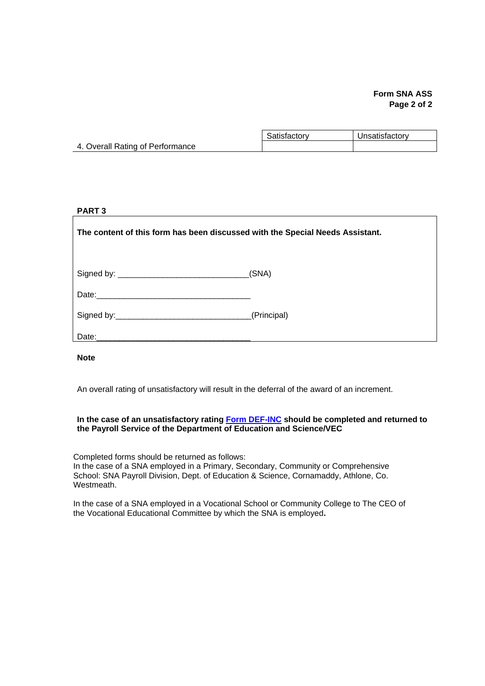#### **Form SNA ASS Page 2 of 2**

|                                  | Satisfactory | Unsatisfactory |
|----------------------------------|--------------|----------------|
| 4. Overall Rating of Performance |              |                |

#### **PART 3**

**The content of this form has been discussed with the Special Needs Assistant.** 

| Signed by: | (SNA |
|------------|------|
|------------|------|

Date:

| Signed by: | (Principal) |
|------------|-------------|
|------------|-------------|

Date:

**Note** 

An overall rating of unsatisfactory will result in the deferral of the award of an increment.

#### **In the case of an unsatisfactory rating [Form DEF-INC](http://www.education.ie/servlet/blobservlet/cl0139_2006_app_c_form_definc.doc) should be completed and returned to the Payroll Service of the Department of Education and Science/VEC**

Completed forms should be returned as follows: In the case of a SNA employed in a Primary, Secondary, Community or Comprehensive School: SNA Payroll Division, Dept. of Education & Science, Cornamaddy, Athlone, Co. Westmeath.

In the case of a SNA employed in a Vocational School or Community College to The CEO of the Vocational Educational Committee by which the SNA is employed**.**